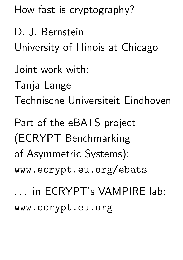How fast is cryptography?

D. J. Bernstein University of Illinois at Chicago Joint work with: Tanja Lange Technische Universiteit Eindhoven Part of the eBATS project (ECRYPT Benchmarking of Asymmetric Systems): www.ecrypt.eu.org/ebats

... in ECRYPT's VAMPIRE lab: www.ecrypt.eu.org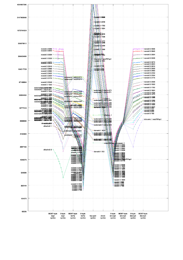| 2147483648<br>1073741824 |                                                                                               |                               |                                                                                                                                                                                                                                                                                                                                                                                                                                                                                                                                                                                                         |        |                                                                          |                                                                                                     |                                                                                                                                                                                                               |                      |                                                                                                                                                                                                                                                                     |
|--------------------------|-----------------------------------------------------------------------------------------------|-------------------------------|---------------------------------------------------------------------------------------------------------------------------------------------------------------------------------------------------------------------------------------------------------------------------------------------------------------------------------------------------------------------------------------------------------------------------------------------------------------------------------------------------------------------------------------------------------------------------------------------------------|--------|--------------------------------------------------------------------------|-----------------------------------------------------------------------------------------------------|---------------------------------------------------------------------------------------------------------------------------------------------------------------------------------------------------------------|----------------------|---------------------------------------------------------------------------------------------------------------------------------------------------------------------------------------------------------------------------------------------------------------------|
|                          |                                                                                               |                               |                                                                                                                                                                                                                                                                                                                                                                                                                                                                                                                                                                                                         |        |                                                                          |                                                                                                     |                                                                                                                                                                                                               |                      |                                                                                                                                                                                                                                                                     |
|                          |                                                                                               |                               |                                                                                                                                                                                                                                                                                                                                                                                                                                                                                                                                                                                                         |        | ronald 3 2906<br>runald 3 2048                                           |                                                                                                     |                                                                                                                                                                                                               |                      |                                                                                                                                                                                                                                                                     |
|                          |                                                                                               |                               |                                                                                                                                                                                                                                                                                                                                                                                                                                                                                                                                                                                                         |        | ronald 3 1792<br>ronald 3 1664                                           |                                                                                                     |                                                                                                                                                                                                               |                      |                                                                                                                                                                                                                                                                     |
|                          |                                                                                               |                               |                                                                                                                                                                                                                                                                                                                                                                                                                                                                                                                                                                                                         |        | <b>SARSAYA 2536</b><br>ronald 3 1408                                     |                                                                                                     |                                                                                                                                                                                                               |                      |                                                                                                                                                                                                                                                                     |
| 536870912                |                                                                                               |                               |                                                                                                                                                                                                                                                                                                                                                                                                                                                                                                                                                                                                         |        | ronald 3   1472<br>ronald 3   1246<br>ronald 8 1280                      |                                                                                                     |                                                                                                                                                                                                               |                      |                                                                                                                                                                                                                                                                     |
|                          | ronald 3 4096<br>ronald 3 3840<br>ronald 3 3584 +                                             |                               |                                                                                                                                                                                                                                                                                                                                                                                                                                                                                                                                                                                                         |        | ronald 3 1088                                                            |                                                                                                     |                                                                                                                                                                                                               |                      | <del>lo sas s lo</del> ronald 3 4096<br>$\rightarrow$ ronald 3 3840<br>$\diamond$ ronald 3 3584                                                                                                                                                                     |
| 268435456                | ronald 3 3328 *                                                                               | <del>ololo o o</del><br>70000 |                                                                                                                                                                                                                                                                                                                                                                                                                                                                                                                                                                                                         |        | <b>FBREFE'S \?592</b><br>intru-enc il ees787ep1<br>romald 3 1024         |                                                                                                     |                                                                                                                                                                                                               |                      | $\div$ ronald 3 3328                                                                                                                                                                                                                                                |
|                          | r8nald 3 3933<br>ronald 3 2816 –                                                              |                               |                                                                                                                                                                                                                                                                                                                                                                                                                                                                                                                                                                                                         |        | ronald 3 768                                                             |                                                                                                     |                                                                                                                                                                                                               |                      | ronald 3 3072<br>ronald 3 2944<br>† ronald 3 2816                                                                                                                                                                                                                   |
| 134217728                | ronald 3 2688 ⊕<br>ronald 3 2560 <del>≑ ⊕</del>                                               |                               |                                                                                                                                                                                                                                                                                                                                                                                                                                                                                                                                                                                                         |        | ronald 3 832                                                             |                                                                                                     |                                                                                                                                                                                                               |                      | ronald 3 2688<br>$\degree$ ronald 3 2560<br>ronald 3 2432                                                                                                                                                                                                           |
|                          | ronald 3 2432 +<br>ronald 3 2304 +<br>ronald 3 2176                                           |                               | ecdonald 1 nist-6-571<br>eddonald 1 nist-k-571                                                                                                                                                                                                                                                                                                                                                                                                                                                                                                                                                          |        |                                                                          |                                                                                                     |                                                                                                                                                                                                               |                      | ronald 3 2304<br>∲ ronald 3 2176                                                                                                                                                                                                                                    |
| 67108864                 | ronald 3 2048<br>ronald 3 1920                                                                |                               |                                                                                                                                                                                                                                                                                                                                                                                                                                                                                                                                                                                                         |        |                                                                          |                                                                                                     |                                                                                                                                                                                                               |                      | ronald 3 2048<br>ronald 3 1920                                                                                                                                                                                                                                      |
|                          | ecdonaldohaidt3b1592<br>ecdonald 1 nist-k-571<br>ronald 3 1664                                |                               | ecdohald 1 nist-b-409                                                                                                                                                                                                                                                                                                                                                                                                                                                                                                                                                                                   |        | ecdonald il nistib-571<br>• ecdonald il nistik-571                       |                                                                                                     |                                                                                                                                                                                                               |                      | ronald 3 1792<br>ronald 3 1664                                                                                                                                                                                                                                      |
| 33554432                 | ronald 3 1536<br>ecdonald Phist <sup>3</sup> p-927                                            |                               | ecdonald 1 nist-k-409<br>econdald 1 nist-p-521                                                                                                                                                                                                                                                                                                                                                                                                                                                                                                                                                          |        |                                                                          |                                                                                                     |                                                                                                                                                                                                               |                      | ronald 3 1536<br>eronald 3 1472<br>FOR THE POPULATION OF THE POPULATION OF THE POPULATION OF THE POPULATION OF THE POPULATION OF THE POPULATION O<br>A REPORT OF THE POPULATION OF THE POPULATION OF THE POPULATION OF THE POPULATION OF THE POPULATION OF THE POPU |
|                          | codonald <sup>2</sup> Philosophe<br>ecdonal<br>don:<br>don:                                   |                               | ecdomald 1 nist-p-384                                                                                                                                                                                                                                                                                                                                                                                                                                                                                                                                                                                   |        | ecdonald in hist-p-521<br>ecdonald inistity 409<br>ecdonald 1 mist-p+384 | claus 1                                                                                             |                                                                                                                                                                                                               | <b>A 8 8 8</b>       | <i><b><i><b>\$</b>F8Ral8</i></b> 3 1358</i>                                                                                                                                                                                                                         |
| 16777216                 | ronald 3 1152<br>ronald 3 1088<br>ronald 3,102<br>ecdonald phase<br><b>ecdonald</b> 1 mist    |                               | ecdonald <sup>9</sup> Pald 1-2048<br>ecdonald 1 nist-k-283                                                                                                                                                                                                                                                                                                                                                                                                                                                                                                                                              |        | asdanald annest k-409                                                    |                                                                                                     |                                                                                                                                                                                                               | <b>PARTIES</b>       | ronald 3 1024<br>ronald 3 896                                                                                                                                                                                                                                       |
|                          | ecdonald ronase p-834<br>ronald 3,766<br><b>eedenald 1,998b keep</b><br>eedenaid 1 nist-n-183 |                               | ecdonald f nist-p-256                                                                                                                                                                                                                                                                                                                                                                                                                                                                                                                                                                                   |        | ecdonald 1 nist-b-283                                                    | elausii) 1                                                                                          |                                                                                                                                                                                                               |                      | ronald 3768<br>ntru-enc 1 ees787ep1                                                                                                                                                                                                                                 |
| 8388608                  | donaldbo512<br>sflashv2 1                                                                     |                               | ecdonald   nist-h-233                                                                                                                                                                                                                                                                                                                                                                                                                                                                                                                                                                                   |        | ecdonald 1 m <b>ist k-263</b><br>ecdonald 1 mist p 1224                  |                                                                                                     |                                                                                                                                                                                                               |                      |                                                                                                                                                                                                                                                                     |
|                          |                                                                                               |                               | ecdonals, plat R-163<br>ecoonald 1 secp 160r1                                                                                                                                                                                                                                                                                                                                                                                                                                                                                                                                                           |        | donald 1 1024                                                            |                                                                                                     |                                                                                                                                                                                                               |                      |                                                                                                                                                                                                                                                                     |
| 4194304                  |                                                                                               |                               | cdonald 1 mist p+192°<br>rainbow 1                                                                                                                                                                                                                                                                                                                                                                                                                                                                                                                                                                      |        | $\frac{1}{2}$ ecdonald 1<br>  ecdonald 1<br>esasuais 1 uist kuiss        | B.                                                                                                  |                                                                                                                                                                                                               |                      |                                                                                                                                                                                                                                                                     |
| 2097152                  |                                                                                               |                               |                                                                                                                                                                                                                                                                                                                                                                                                                                                                                                                                                                                                         |        |                                                                          | nista 256-85% dirasparc 1<br>nista 256-85% dirasparc 1<br>maid 3 3884<br>maid 3 3884<br>maid 3 3884 |                                                                                                                                                                                                               |                      |                                                                                                                                                                                                                                                                     |
|                          | sflashv22 s                                                                                   |                               | ronald 3 4096<br><b>resear</b> d613542<br>ronalde9b933<br>ronald 3 3328                                                                                                                                                                                                                                                                                                                                                                                                                                                                                                                                 |        | donald 1512                                                              |                                                                                                     | ronald 3 3328                                                                                                                                                                                                 |                      |                                                                                                                                                                                                                                                                     |
| 1048576                  |                                                                                               |                               | <b>1808</b><br><b>1808</b><br><b>1808</b><br><b>1808</b><br><b>1808</b><br><b>1808</b><br><b>1808</b><br><b>1808</b><br><b>1808</b><br><b>1808</b><br><b>1808</b><br><b>1808</b><br><b>1808</b><br><b>1808</b><br><b>1808</b><br><b>1808</b><br><b>1808</b>                                                                                                                                                                                                                                                                                                                                             |        |                                                                          |                                                                                                     | $\begin{array}{l} \text{opall} & 33072 \\ \text{opall} & 28176 \\ \text{opall} & 22816 \\ \text{opall} & 32988 \\ \text{opall} & 32988 \\ \text{opall} & 32176 \\ \text{opall} & 32176 \end{array}$<br>787ep1 |                      |                                                                                                                                                                                                                                                                     |
|                          |                                                                                               |                               |                                                                                                                                                                                                                                                                                                                                                                                                                                                                                                                                                                                                         |        |                                                                          |                                                                                                     | ronald 3 2048<br>ronald 3 1920                                                                                                                                                                                |                      |                                                                                                                                                                                                                                                                     |
| 524288                   |                                                                                               |                               | ronald 3 2048<br>ronald 3 1920<br>ronald 3 1792                                                                                                                                                                                                                                                                                                                                                                                                                                                                                                                                                         |        |                                                                          |                                                                                                     | ronald 3 1792                                                                                                                                                                                                 |                      |                                                                                                                                                                                                                                                                     |
|                          |                                                                                               |                               | $\begin{array}{c}\n\text{longing} \\ \text{final} \\ \text{final} \\ \text{final} \\ \text{final} \\ \text{final} \\ \text{final} \\ \text{final} \\ \text{final} \\ \text{final} \\ \text{final} \\ \text{final} \\ \text{final} \\ \text{final} \\ \text{final} \\ \text{final} \\ \text{final} \\ \text{final} \\ \text{final} \\ \text{final} \\ \text{final} \\ \text{final} \\ \text{final} \\ \text{final} \\ \text{final} \\ \text{final} \\ \text{final} \\ \text{final} \\ \text{final} \\ \text{final} \\ \text{final} \\ \text{final} \\ \text{final} \\ \text{final} \\ \text{final} \\ \$ | 633    |                                                                          |                                                                                                     | <b>Fenald 3 1536<br/>Fenald 3 1436<br/>- Bill 8 3 1436<br/>- Bill 8 3 1688</b><br>- Bill 8 3 1688<br>ronald 3 1024                                                                                            |                      |                                                                                                                                                                                                                                                                     |
| 262144                   |                                                                                               |                               | ronald 3 1024<br>ronald 3 960<br>ronald 3 896                                                                                                                                                                                                                                                                                                                                                                                                                                                                                                                                                           |        |                                                                          |                                                                                                     | <b>F8Rald 3 868</b><br>ronald 3 832                                                                                                                                                                           |                      |                                                                                                                                                                                                                                                                     |
|                          |                                                                                               |                               | ronald 3 832<br>ronald 3 768                                                                                                                                                                                                                                                                                                                                                                                                                                                                                                                                                                            |        |                                                                          |                                                                                                     |                                                                                                                                                                                                               |                      |                                                                                                                                                                                                                                                                     |
| 131072                   |                                                                                               |                               |                                                                                                                                                                                                                                                                                                                                                                                                                                                                                                                                                                                                         |        |                                                                          |                                                                                                     |                                                                                                                                                                                                               |                      |                                                                                                                                                                                                                                                                     |
|                          |                                                                                               |                               |                                                                                                                                                                                                                                                                                                                                                                                                                                                                                                                                                                                                         |        |                                                                          |                                                                                                     |                                                                                                                                                                                                               |                      |                                                                                                                                                                                                                                                                     |
| 65536                    |                                                                                               | 96397-byte<br>0-byte          | 96397-byte                                                                                                                                                                                                                                                                                                                                                                                                                                                                                                                                                                                              | 0-byte |                                                                          | 0-byte                                                                                              | 96397-byte                                                                                                                                                                                                    | 0-byte<br>96397-byte |                                                                                                                                                                                                                                                                     |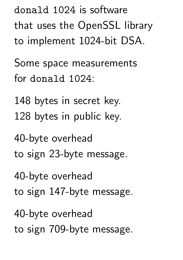donald 1024 is software that uses the OpenSSL library to implement 1024-bit DSA.

Some space measurements for donald 1024:

148 bytes in secret key. 128 bytes in public key.

40-byte overhead to sign 23-byte message.

40-byte overhead

to sign 147-byte message.

40-byte overhead

to sign 709-byte message.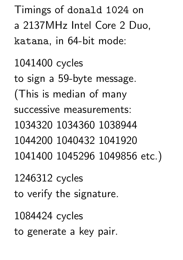Timings of donald 1024 on a 2137MHz Intel Core 2 Duo, katana, in 64-bit mode:

1041400 cycles to sign a 59-byte message. (This is median of many successive measurements: 1034320 1034360 1038944 1044200 1040432 1041920 1041400 1045296 1049856 etc.)

1246312 cycles

to verify the signature.

1084424 cycles

to generate a key pair.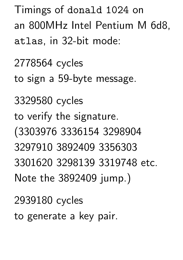Timings of donald 1024 on an 800MHz Intel Pentium M 6d8, atlas, in 32-bit mode:

2778564 cycles to sign a 59-byte message. 3329580 cycles to verify the signature. (3303976 3336154 3298904 3297910 3892409 3356303 3301620 3298139 3319748 etc. Note the 3892409 jump.)

2939180 cycles

to generate a key pair.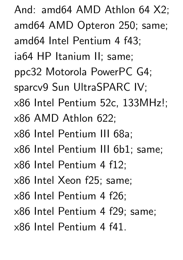And: amd64 AMD Athlon 64 X2; amd64 AMD Opteron 250; same; amd64 Intel Pentium 4 f43; ia64 HP Itanium II; same; ppc32 Motorola PowerPC G4; sparcv9 Sun UltraSPARC IV; x86 Intel Pentium 52c, 133MHz!; x86 AMD Athlon 622; x86 Intel Pentium III 68a; x86 Intel Pentium III 6b1; same; x86 Intel Pentium 4 f12; x86 Intel Xeon f25; same; x86 Intel Pentium 4 f26; x86 Intel Pentium 4 f29; same; x86 Intel Pentium 4 f41.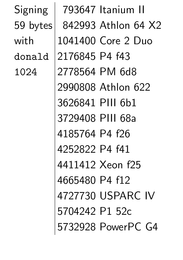Signing | 793647 Itanium II 59 bytes 842993 Athlon 64 X2 with 1041400 Core 2 Duo donald 2176845 P4 f43 1024 2778564 PM 6d8 2990808 Athlon 622 3626841 PIII 6b1 3729408 PIII 68a 4185764 P4 f26 4252822 P4 f41 4411412 Xeon f25 4665480 P4 f12 4727730 USPARC IV 5704242 P1 52c 5732928 PowerPC G4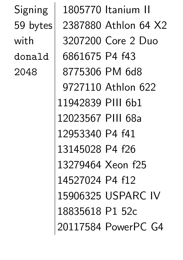Signing | 1805770 Itanium II 59 bytes 2387880 Athlon 64 X2 with 3207200 Core 2 Duo donald 6861675 P4 f43 2048 8775306 PM 6d8 9727110 Athlon 622 11942839 PIII 6b1 12023567 PIII 68a 12953340 P4 f41 13145028 P4 f26 13279464 Xeon f25 14527024 P4 f12 15906325 USPARC IV 18835618 P1 52c 20117584 PowerPC G4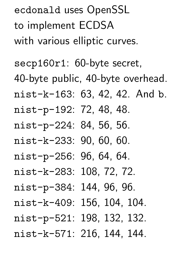ecdonald uses OpenSSL to implement ECDSA with various elliptic curves.

secp160r1: 60-byte secret, 40-byte public, 40-byte overhead. nist-k-163: 63, 42, 42. And b. nist-p-192: 72, 48, 48. nist-p-224: 84, 56, 56. nist-k-233: 90, 60, 60. nist-p-256: 96, 64, 64. nist-k-283: 108, 72, 72. nist-p-384: 144, 96, 96. nist-k-409: 156, 104, 104. nist-p-521: 198, 132, 132. nist-k-571: 216, 144, 144.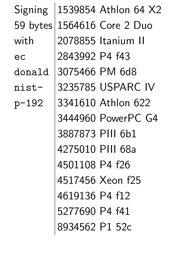| Signing  |                  | 1539854 Athlon 64 X2 |
|----------|------------------|----------------------|
| 59 bytes |                  | 1564616 Core 2 Duo   |
| with     |                  | 2078855 Itanium II   |
| ec       | 2843992 P4 f43   |                      |
| donald   | 3075466 PM 6d8   |                      |
| nist-    |                  | 3235785 USPARC IV    |
| $p-192$  |                  | 3341610 Athlon 622   |
|          |                  | 3444960 PowerPC G4   |
|          | 3887873 PIII 6b1 |                      |
|          | 4275010 PIII 68a |                      |
|          | 4501108 P4 f26   |                      |
|          |                  | 4517456 Xeon f25     |
|          | 4619136 P4 f12   |                      |
|          | 5277690 P4 f41   |                      |
|          | 8934562 P1 52c   |                      |
|          |                  |                      |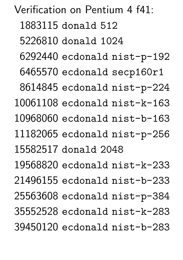Verification on Pentium 4 f41: donald 512 donald 1024 ecdonald nist-p-192 ecdonald secp160r1 ecdonald nist-p-224 ecdonald nist-k-163 ecdonald nist-b-163 ecdonald nist-p-256 donald 2048 ecdonald nist-k-233 ecdonald nist-b-233 ecdonald nist-p-384 ecdonald nist-k-283 ecdonald nist-b-283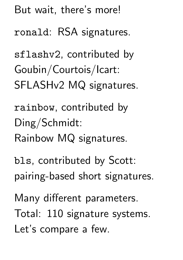But wait, there's more! ronald: RSA signatures. sflashv2, contributed by Goubin/Courtois/Icart: SFLASHv2 MQ signatures. rainbow, contributed by Ding/Schmidt: Rainbow MQ signatures. bls, contributed by Scott: pairing-based short signatures. Many different parameters. Total: 110 signature systems. Let's compare a few.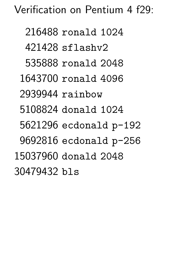Verification on Pentium 4 f29:

 ronald 1024 sflashv2 ronald 2048 ronald 4096 rainbow donald 1024 ecdonald p-192 ecdonald p-256 donald 2048 bls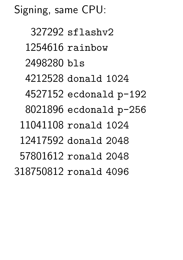Signing, same CPU:

 sflashv2 rainbow bls donald 1024 ecdonald p-192 ecdonald p-256 ronald 1024 donald 2048 ronald 2048 ronald 4096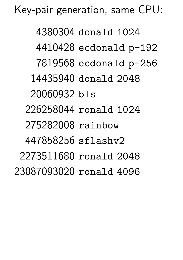Key-pair generation, same CPU:

 donald 1024 ecdonald p-192 ecdonald p-256 donald 2048 bls ronald 1024 rainbow sflashv2 ronald 2048 ronald 4096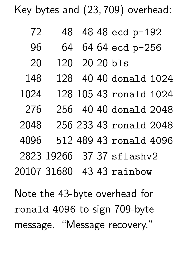Key bytes and (23; 709) overhead:

- 72 48 48 48 ecd p-192
- 96 64 64 64 ecd p-256
- 20 120 20 20 bls
- 148 128 40 40 donald 1024
- 1024 128 105 43 ronald 1024
- 276 256 40 40 donald 2048
- 2048 256 233 43 ronald 2048
- 4096 512 489 43 ronald 4096
- 2823 19266 37 37 sflashv2

20107 31680 43 43 rainbow

Note the 43-byte overhead for ronald 4096 to sign 709-byte message. "Message recovery."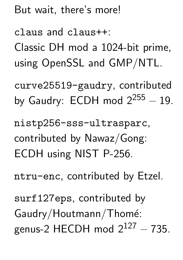But wait, there's more!

claus and claus++:

Classic DH mod a 1024-bit prime, using OpenSSL and GMP/NTL.

curve25519-gaudry, contributed by Gaudry:  $ECDH$  mod  $2^{255} - 19$ .

nistp256-sss-ultrasparc, contributed by Nawaz/Gong: ECDH using NIST P-256.

ntru-enc, contributed by Etzel.

surf127eps, contributed by Gaudry/Houtmann/Thomé: genus-2 HECDH mod  $2^{127} - 735$ .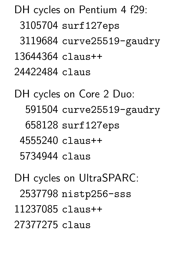DH cycles on Pentium 4 f29: surf127eps curve25519-gaudry claus++ claus

DH cycles on Core 2 Duo: curve25519-gaudry surf127eps claus++ claus

DH cycles on UltraSPARC: nistp256-sss claus++ claus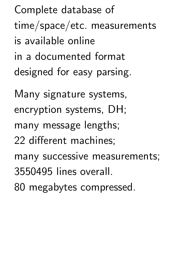Complete database of time/space/etc. measurements is available online in a documented format designed for easy parsing.

Many signature systems, encryption systems, DH; many message lengths; 22 different machines; many successive measurements; 3550495 lines overall. 80 megabytes compressed.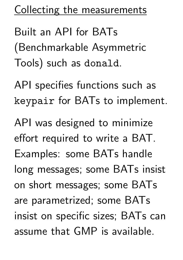## Collecting the measurements

Built an API for BATs (Benchmarkable Asymmetric Tools) such as donald.

API specifies functions such as keypair for BATs to implement.

API was designed to minimize effort required to write a BAT. Examples: some BATs handle long messages; some BATs insist on short messages; some BATs are parametrized; some BATs insist on specific sizes; BATs can assume that GMP is available.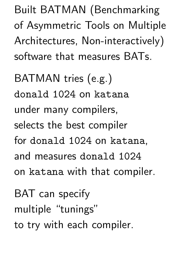Built BATMAN (Benchmarking of Asymmetric Tools on Multiple Architectures, Non-interactively) software that measures BATs.

BATMAN tries (e.g.) donald 1024 on katana under many compilers, selects the best compiler for donald 1024 on katana, and measures donald 1024 on katana with that compiler.

BAT can specify multiple "tunings" to try with each compiler.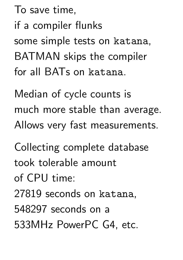To save time,

if a compiler flunks

some simple tests on katana, BATMAN skips the compiler for all BATs on katana.

Median of cycle counts is much more stable than average. Allows very fast measurements.

Collecting complete database took tolerable amount

of CPU time:

27819 seconds on katana,

548297 seconds on a

533MHz PowerPC G4, etc.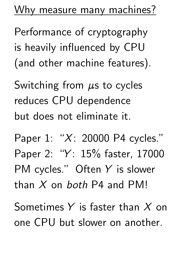Why measure many machines?

Performance of cryptography is heavily influenced by CPU (and other machine features).

Switching from  $\mu$ s to cycles reduces CPU dependence but does not eliminate it.

Paper 1: "X: 20000 P4 cycles." Paper 2: "Y: 15% faster, 17000 PM cycles." Often Y is slower than  $X$  on both P4 and PM!

Sometimes  $Y$  is faster than  $X$  on one CPU but slower on another.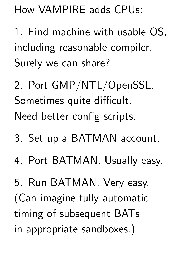How VAMPIRE adds CPUs:

1. Find machine with usable OS, including reasonable compiler. Surely we can share?

2. Port GMP/NTL/OpenSSL. Sometimes quite difficult. Need better config scripts.

- 3. Set up a BATMAN account.
- 4. Port BATMAN. Usually easy.

5. Run BATMAN. Very easy. (Can imagine fully automatic timing of subsequent BATs in appropriate sandboxes.)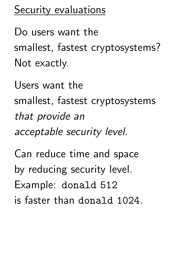## Security evaluations

Do users want the smallest, fastest cryptosystems? Not exactly.

Users want the smallest, fastest cryptosystems that provide an acceptable security level. Can reduce time and space by reducing security level. Example: donald 512

is faster than donald 1024.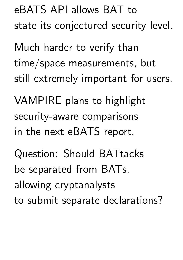eBATS API allows BAT to state its conjectured security level.

Much harder to verify than time/space measurements, but still extremely important for users.

VAMPIRE plans to highlight security-aware comparisons in the next eBATS report.

Question: Should BATtacks be separated from BATs, allowing cryptanalysts to submit separate declarations?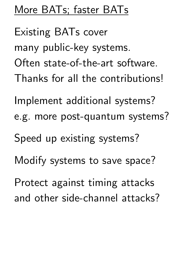## More BATs; faster BATs

Existing BATs cover many public-key systems. Often state-of-the-art software. Thanks for all the contributions!

Implement additional systems? e.g. more post-quantum systems?

Speed up existing systems?

Modify systems to save space?

Protect against timing attacks and other side-channel attacks?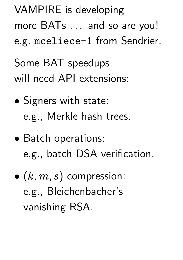VAMPIRE is developing more BATs . . . and so are you! e.g. mceliece-1 from Sendrier. Some BAT speedups will need API extensions:

- Signers with state: e.g., Merkle hash trees.
- Batch operations: e.g., batch DSA verification.
- $\bullet$   $(k, m, s)$  compression: e.g., Bleichenbacher's vanishing RSA.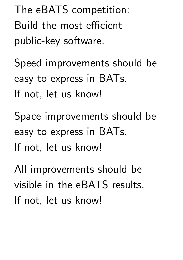The eBATS competition: Build the most efficient public-key software.

Speed improvements should be easy to express in BATs. If not, let us know!

Space improvements should be easy to express in BATs. If not, let us know!

All improvements should be visible in the eBATS results. If not, let us know!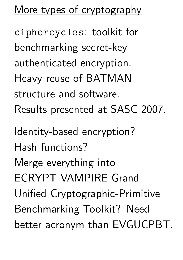More types of cryptography

ciphercycles: toolkit for benchmarking secret-key authenticated encryption. Heavy reuse of BATMAN structure and software. Results presented at SASC 2007.

Identity-based encryption? Hash functions? Merge everything into ECRYPT VAMPIRE Grand Unified Cryptographic-Primitive Benchmarking Toolkit? Need better acronym than EVGUCPBT.